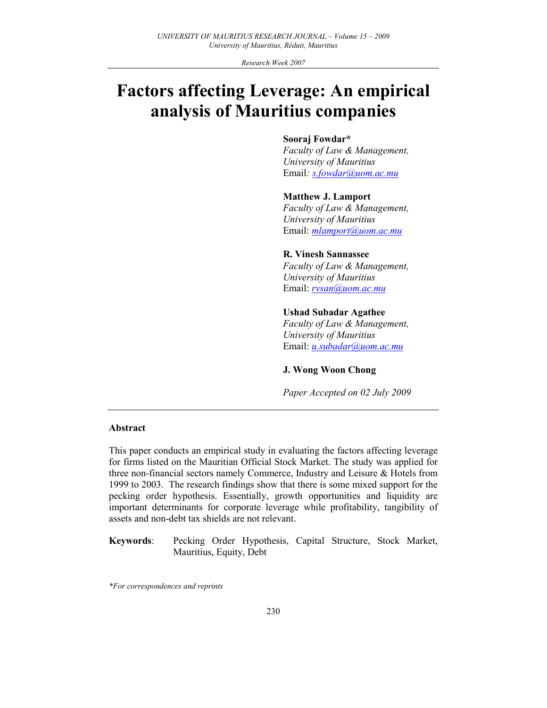Research Week 2007

# Factors affecting Leverage: An empirical analysis of Mauritius companies

#### Sooraj Fowdar\*

Faculty of Law & Management, University of Mauritius Email: s.fowdar@uom.ac.mu

#### Matthew J. Lamport

Faculty of Law & Management, University of Mauritius Email: mlamport@uom.ac.mu

## R. Vinesh Sannassee

Faculty of Law & Management, University of Mauritius Email: rvsan@uom.ac.mu

#### Ushad Subadar Agathee

Faculty of Law & Management, University of Mauritius Email: u.subadar@uom.ac.mu

#### J. Wong Woon Chong

Paper Accepted on 02 July 2009

#### Abstract

This paper conducts an empirical study in evaluating the factors affecting leverage for firms listed on the Mauritian Official Stock Market. The study was applied for three non-financial sectors namely Commerce, Industry and Leisure & Hotels from 1999 to 2003. The research findings show that there is some mixed support for the pecking order hypothesis. Essentially, growth opportunities and liquidity are important determinants for corporate leverage while profitability, tangibility of assets and non-debt tax shields are not relevant.

Keywords: Pecking Order Hypothesis, Capital Structure, Stock Market, Mauritius, Equity, Debt

\*For correspondences and reprints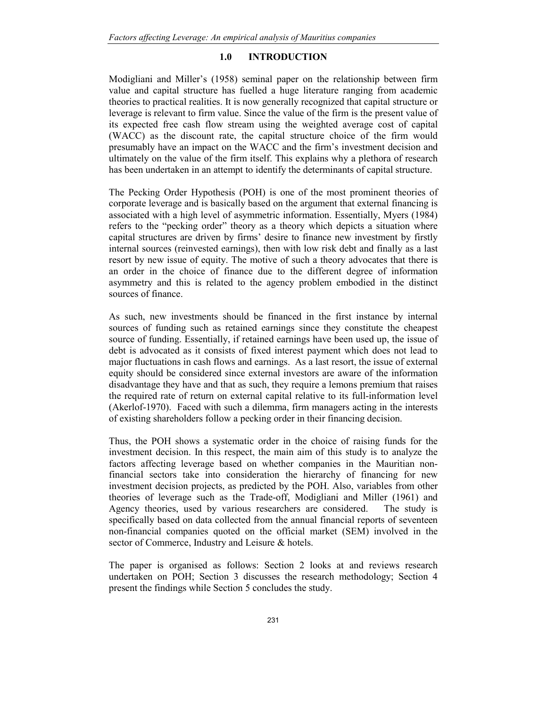#### 1.0 INTRODUCTION

Modigliani and Miller's (1958) seminal paper on the relationship between firm value and capital structure has fuelled a huge literature ranging from academic theories to practical realities. It is now generally recognized that capital structure or leverage is relevant to firm value. Since the value of the firm is the present value of its expected free cash flow stream using the weighted average cost of capital (WACC) as the discount rate, the capital structure choice of the firm would presumably have an impact on the WACC and the firm's investment decision and ultimately on the value of the firm itself. This explains why a plethora of research has been undertaken in an attempt to identify the determinants of capital structure.

The Pecking Order Hypothesis (POH) is one of the most prominent theories of corporate leverage and is basically based on the argument that external financing is associated with a high level of asymmetric information. Essentially, Myers (1984) refers to the "pecking order" theory as a theory which depicts a situation where capital structures are driven by firms' desire to finance new investment by firstly internal sources (reinvested earnings), then with low risk debt and finally as a last resort by new issue of equity. The motive of such a theory advocates that there is an order in the choice of finance due to the different degree of information asymmetry and this is related to the agency problem embodied in the distinct sources of finance.

As such, new investments should be financed in the first instance by internal sources of funding such as retained earnings since they constitute the cheapest source of funding. Essentially, if retained earnings have been used up, the issue of debt is advocated as it consists of fixed interest payment which does not lead to major fluctuations in cash flows and earnings. As a last resort, the issue of external equity should be considered since external investors are aware of the information disadvantage they have and that as such, they require a lemons premium that raises the required rate of return on external capital relative to its full-information level (Akerlof-1970). Faced with such a dilemma, firm managers acting in the interests of existing shareholders follow a pecking order in their financing decision.

Thus, the POH shows a systematic order in the choice of raising funds for the investment decision. In this respect, the main aim of this study is to analyze the factors affecting leverage based on whether companies in the Mauritian nonfinancial sectors take into consideration the hierarchy of financing for new investment decision projects, as predicted by the POH. Also, variables from other theories of leverage such as the Trade-off, Modigliani and Miller (1961) and Agency theories, used by various researchers are considered. The study is specifically based on data collected from the annual financial reports of seventeen non-financial companies quoted on the official market (SEM) involved in the sector of Commerce, Industry and Leisure & hotels.

The paper is organised as follows: Section 2 looks at and reviews research undertaken on POH; Section 3 discusses the research methodology; Section 4 present the findings while Section 5 concludes the study.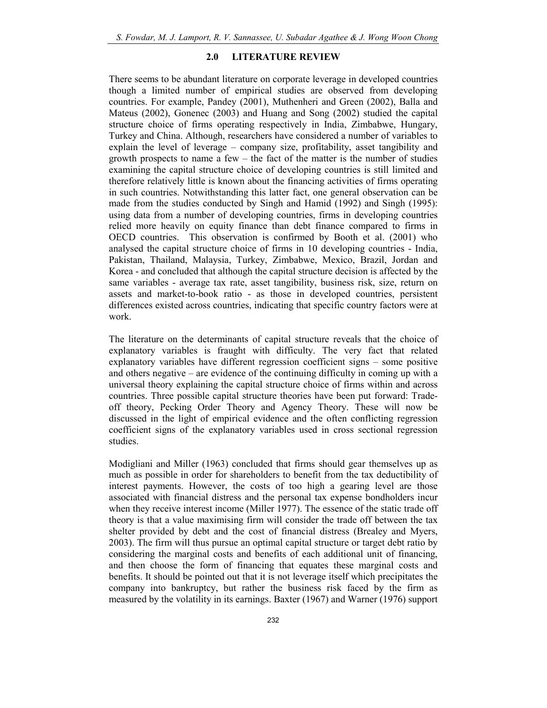#### 2.0 LITERATURE REVIEW

There seems to be abundant literature on corporate leverage in developed countries though a limited number of empirical studies are observed from developing countries. For example, Pandey (2001), Muthenheri and Green (2002), Balla and Mateus (2002), Gonenec (2003) and Huang and Song (2002) studied the capital structure choice of firms operating respectively in India, Zimbabwe, Hungary, Turkey and China. Although, researchers have considered a number of variables to explain the level of leverage – company size, profitability, asset tangibility and growth prospects to name a few  $-$  the fact of the matter is the number of studies examining the capital structure choice of developing countries is still limited and therefore relatively little is known about the financing activities of firms operating in such countries. Notwithstanding this latter fact, one general observation can be made from the studies conducted by Singh and Hamid (1992) and Singh (1995): using data from a number of developing countries, firms in developing countries relied more heavily on equity finance than debt finance compared to firms in OECD countries. This observation is confirmed by Booth et al. (2001) who analysed the capital structure choice of firms in 10 developing countries - India, Pakistan, Thailand, Malaysia, Turkey, Zimbabwe, Mexico, Brazil, Jordan and Korea - and concluded that although the capital structure decision is affected by the same variables - average tax rate, asset tangibility, business risk, size, return on assets and market-to-book ratio - as those in developed countries, persistent differences existed across countries, indicating that specific country factors were at work.

The literature on the determinants of capital structure reveals that the choice of explanatory variables is fraught with difficulty. The very fact that related explanatory variables have different regression coefficient signs – some positive and others negative – are evidence of the continuing difficulty in coming up with a universal theory explaining the capital structure choice of firms within and across countries. Three possible capital structure theories have been put forward: Tradeoff theory, Pecking Order Theory and Agency Theory. These will now be discussed in the light of empirical evidence and the often conflicting regression coefficient signs of the explanatory variables used in cross sectional regression studies.

Modigliani and Miller (1963) concluded that firms should gear themselves up as much as possible in order for shareholders to benefit from the tax deductibility of interest payments. However, the costs of too high a gearing level are those associated with financial distress and the personal tax expense bondholders incur when they receive interest income (Miller 1977). The essence of the static trade off theory is that a value maximising firm will consider the trade off between the tax shelter provided by debt and the cost of financial distress (Brealey and Myers, 2003). The firm will thus pursue an optimal capital structure or target debt ratio by considering the marginal costs and benefits of each additional unit of financing, and then choose the form of financing that equates these marginal costs and benefits. It should be pointed out that it is not leverage itself which precipitates the company into bankruptcy, but rather the business risk faced by the firm as measured by the volatility in its earnings. Baxter (1967) and Warner (1976) support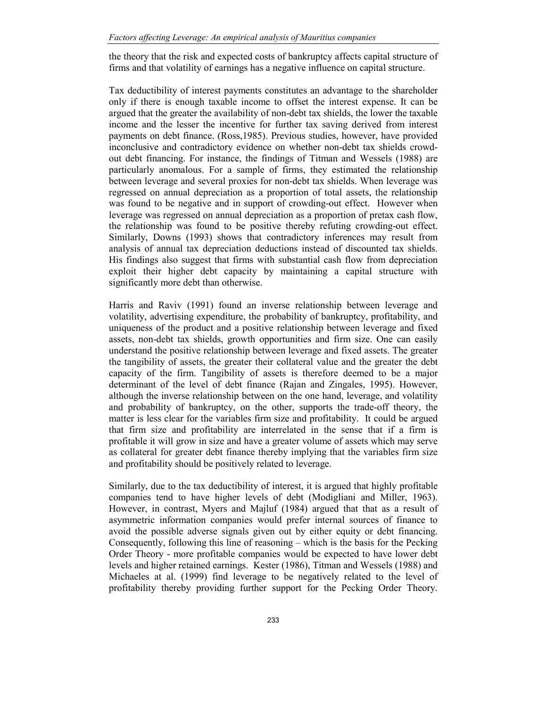the theory that the risk and expected costs of bankruptcy affects capital structure of firms and that volatility of earnings has a negative influence on capital structure.

Tax deductibility of interest payments constitutes an advantage to the shareholder only if there is enough taxable income to offset the interest expense. It can be argued that the greater the availability of non-debt tax shields, the lower the taxable income and the lesser the incentive for further tax saving derived from interest payments on debt finance. (Ross,1985). Previous studies, however, have provided inconclusive and contradictory evidence on whether non-debt tax shields crowdout debt financing. For instance, the findings of Titman and Wessels (1988) are particularly anomalous. For a sample of firms, they estimated the relationship between leverage and several proxies for non-debt tax shields. When leverage was regressed on annual depreciation as a proportion of total assets, the relationship was found to be negative and in support of crowding-out effect. However when leverage was regressed on annual depreciation as a proportion of pretax cash flow, the relationship was found to be positive thereby refuting crowding-out effect. Similarly, Downs (1993) shows that contradictory inferences may result from analysis of annual tax depreciation deductions instead of discounted tax shields. His findings also suggest that firms with substantial cash flow from depreciation exploit their higher debt capacity by maintaining a capital structure with significantly more debt than otherwise.

Harris and Raviv (1991) found an inverse relationship between leverage and volatility, advertising expenditure, the probability of bankruptcy, profitability, and uniqueness of the product and a positive relationship between leverage and fixed assets, non-debt tax shields, growth opportunities and firm size. One can easily understand the positive relationship between leverage and fixed assets. The greater the tangibility of assets, the greater their collateral value and the greater the debt capacity of the firm. Tangibility of assets is therefore deemed to be a major determinant of the level of debt finance (Rajan and Zingales, 1995). However, although the inverse relationship between on the one hand, leverage, and volatility and probability of bankruptcy, on the other, supports the trade-off theory, the matter is less clear for the variables firm size and profitability. It could be argued that firm size and profitability are interrelated in the sense that if a firm is profitable it will grow in size and have a greater volume of assets which may serve as collateral for greater debt finance thereby implying that the variables firm size and profitability should be positively related to leverage.

Similarly, due to the tax deductibility of interest, it is argued that highly profitable companies tend to have higher levels of debt (Modigliani and Miller, 1963). However, in contrast, Myers and Majluf (1984) argued that that as a result of asymmetric information companies would prefer internal sources of finance to avoid the possible adverse signals given out by either equity or debt financing. Consequently, following this line of reasoning – which is the basis for the Pecking Order Theory - more profitable companies would be expected to have lower debt levels and higher retained earnings. Kester (1986), Titman and Wessels (1988) and Michaeles at al. (1999) find leverage to be negatively related to the level of profitability thereby providing further support for the Pecking Order Theory.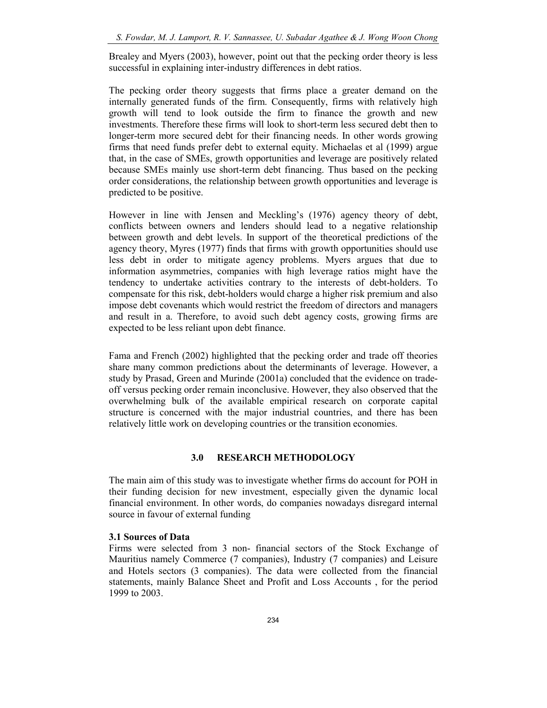Brealey and Myers (2003), however, point out that the pecking order theory is less successful in explaining inter-industry differences in debt ratios.

The pecking order theory suggests that firms place a greater demand on the internally generated funds of the firm. Consequently, firms with relatively high growth will tend to look outside the firm to finance the growth and new investments. Therefore these firms will look to short-term less secured debt then to longer-term more secured debt for their financing needs. In other words growing firms that need funds prefer debt to external equity. Michaelas et al (1999) argue that, in the case of SMEs, growth opportunities and leverage are positively related because SMEs mainly use short-term debt financing. Thus based on the pecking order considerations, the relationship between growth opportunities and leverage is predicted to be positive.

However in line with Jensen and Meckling's (1976) agency theory of debt, conflicts between owners and lenders should lead to a negative relationship between growth and debt levels. In support of the theoretical predictions of the agency theory, Myres (1977) finds that firms with growth opportunities should use less debt in order to mitigate agency problems. Myers argues that due to information asymmetries, companies with high leverage ratios might have the tendency to undertake activities contrary to the interests of debt-holders. To compensate for this risk, debt-holders would charge a higher risk premium and also impose debt covenants which would restrict the freedom of directors and managers and result in a. Therefore, to avoid such debt agency costs, growing firms are expected to be less reliant upon debt finance.

Fama and French (2002) highlighted that the pecking order and trade off theories share many common predictions about the determinants of leverage. However, a study by Prasad, Green and Murinde (2001a) concluded that the evidence on tradeoff versus pecking order remain inconclusive. However, they also observed that the overwhelming bulk of the available empirical research on corporate capital structure is concerned with the major industrial countries, and there has been relatively little work on developing countries or the transition economies.

#### 3.0 RESEARCH METHODOLOGY

The main aim of this study was to investigate whether firms do account for POH in their funding decision for new investment, especially given the dynamic local financial environment. In other words, do companies nowadays disregard internal source in favour of external funding

#### 3.1 Sources of Data

Firms were selected from 3 non- financial sectors of the Stock Exchange of Mauritius namely Commerce (7 companies), Industry (7 companies) and Leisure and Hotels sectors (3 companies). The data were collected from the financial statements, mainly Balance Sheet and Profit and Loss Accounts , for the period 1999 to 2003.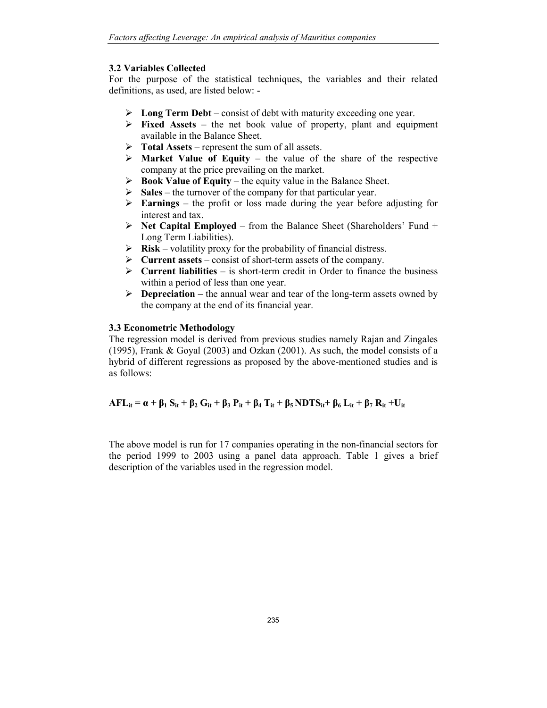### 3.2 Variables Collected

For the purpose of the statistical techniques, the variables and their related definitions, as used, are listed below: -

- $\triangleright$  Long Term Debt consist of debt with maturity exceeding one year.
- $\triangleright$  Fixed Assets the net book value of property, plant and equipment available in the Balance Sheet.
- $\triangleright$  Total Assets represent the sum of all assets.
- $\triangleright$  Market Value of Equity the value of the share of the respective company at the price prevailing on the market.
- $\triangleright$  Book Value of Equity the equity value in the Balance Sheet.
- $\triangleright$  Sales the turnover of the company for that particular year.
- $\triangleright$  **Earnings** the profit or loss made during the year before adjusting for interest and tax.
- $\triangleright$  Net Capital Employed from the Balance Sheet (Shareholders' Fund + Long Term Liabilities).
- $\triangleright$  **Risk** volatility proxy for the probability of financial distress.
- $\triangleright$  Current assets consist of short-term assets of the company.
- $\triangleright$  Current liabilities is short-term credit in Order to finance the business within a period of less than one year.
- $\triangleright$  **Depreciation** the annual wear and tear of the long-term assets owned by the company at the end of its financial year.

#### 3.3 Econometric Methodology

The regression model is derived from previous studies namely Rajan and Zingales (1995), Frank & Goyal (2003) and Ozkan (2001). As such, the model consists of a hybrid of different regressions as proposed by the above-mentioned studies and is as follows:

## $AFL_{it} = \alpha + \beta_1 S_{it} + \beta_2 G_{it} + \beta_3 P_{it} + \beta_4 T_{it} + \beta_5 NDTS_{it} + \beta_6 L_{it} + \beta_7 R_{it} + U_{it}$

The above model is run for 17 companies operating in the non-financial sectors for the period 1999 to 2003 using a panel data approach. Table 1 gives a brief description of the variables used in the regression model.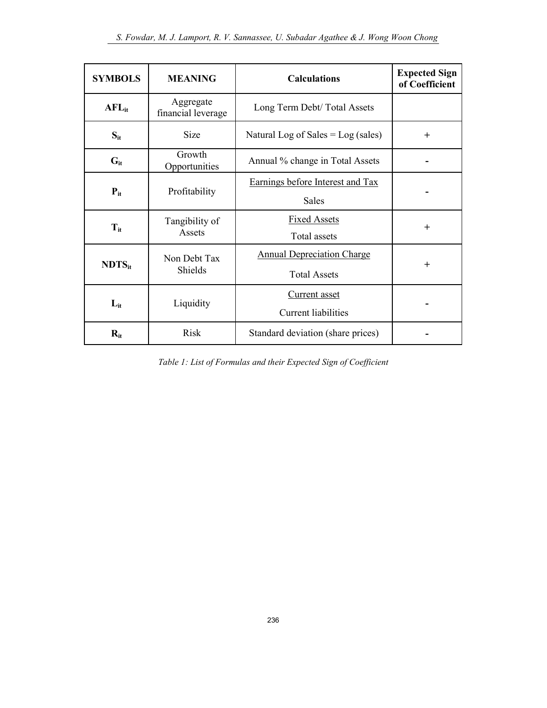| <b>SYMBOLS</b> | <b>MEANING</b>                  | <b>Calculations</b>                                      | <b>Expected Sign</b><br>of Coefficient |
|----------------|---------------------------------|----------------------------------------------------------|----------------------------------------|
| $AFL_{it}$     | Aggregate<br>financial leverage | Long Term Debt/Total Assets                              |                                        |
| $S_{it}$       | <b>Size</b>                     | Natural Log of Sales $=$ Log (sales)                     | $^{+}$                                 |
| $G_{it}$       | Growth<br>Opportunities         | Annual % change in Total Assets                          |                                        |
| $P_{it}$       | Profitability                   | Earnings before Interest and Tax<br><b>Sales</b>         |                                        |
| $T_{it}$       | Tangibility of<br>Assets        | <b>Fixed Assets</b><br>Total assets                      | $+$                                    |
| $NDTS_{it}$    | Non Debt Tax<br>Shields         | <b>Annual Depreciation Charge</b><br><b>Total Assets</b> | $\pm$                                  |
| $L_{it}$       | Liquidity                       | <b>Current</b> asset<br><b>Current liabilities</b>       |                                        |
| $R_{it}$       | <b>Risk</b>                     | Standard deviation (share prices)                        |                                        |

Table 1: List of Formulas and their Expected Sign of Coefficient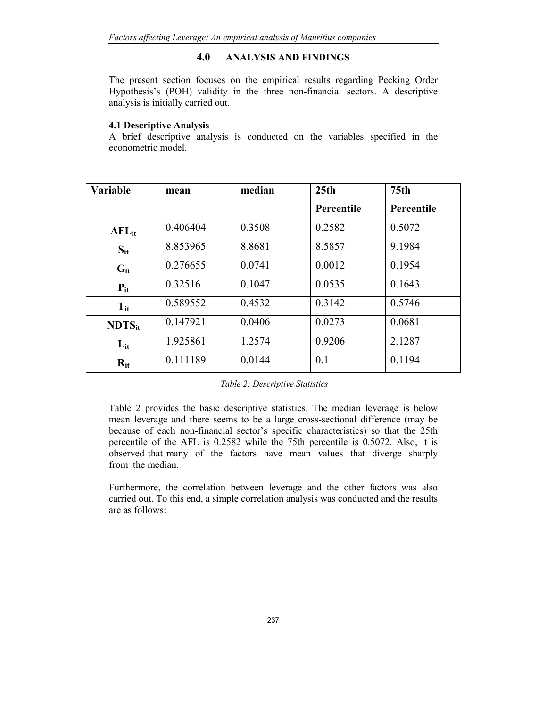#### 4.0 ANALYSIS AND FINDINGS

The present section focuses on the empirical results regarding Pecking Order Hypothesis's (POH) validity in the three non-financial sectors. A descriptive analysis is initially carried out.

#### 4.1 Descriptive Analysis

A brief descriptive analysis is conducted on the variables specified in the econometric model.

| <b>Variable</b> | mean     | median | 25 <sub>th</sub> | 75 <sub>th</sub> |
|-----------------|----------|--------|------------------|------------------|
|                 |          |        | Percentile       | Percentile       |
| $AFL_{it}$      | 0.406404 | 0.3508 | 0.2582           | 0.5072           |
| $S_{it}$        | 8.853965 | 8.8681 | 8.5857           | 9.1984           |
| $G_{it}$        | 0.276655 | 0.0741 | 0.0012           | 0.1954           |
| $P_{it}$        | 0.32516  | 0.1047 | 0.0535           | 0.1643           |
| $T_{it}$        | 0.589552 | 0.4532 | 0.3142           | 0.5746           |
| $NDTS_{it}$     | 0.147921 | 0.0406 | 0.0273           | 0.0681           |
| $L_{it}$        | 1.925861 | 1.2574 | 0.9206           | 2.1287           |
| $R_{it}$        | 0.111189 | 0.0144 | 0.1              | 0.1194           |

Table 2: Descriptive Statistics

Table 2 provides the basic descriptive statistics. The median leverage is below mean leverage and there seems to be a large cross-sectional difference (may be because of each non-financial sector's specific characteristics) so that the 25th percentile of the AFL is 0.2582 while the 75th percentile is 0.5072. Also, it is observed that many of the factors have mean values that diverge sharply from the median.

Furthermore, the correlation between leverage and the other factors was also carried out. To this end, a simple correlation analysis was conducted and the results are as follows: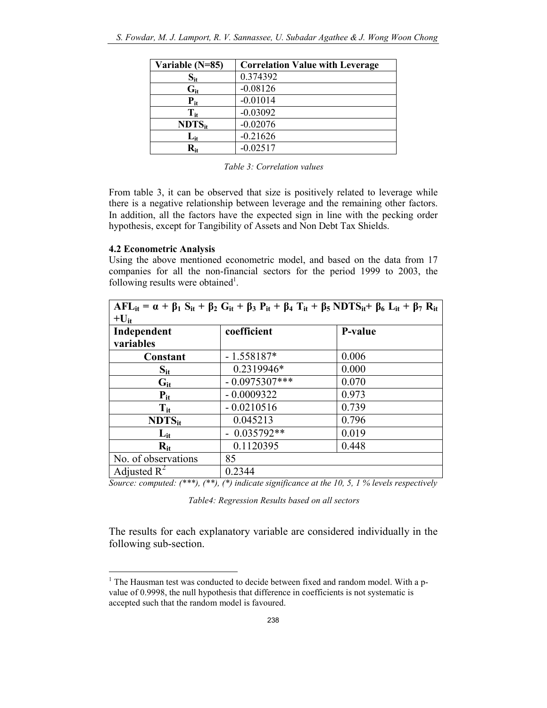| Variable (N=85)                     | <b>Correlation Value with Leverage</b> |
|-------------------------------------|----------------------------------------|
| $\mathbf{S}_{\mathbf{it}}$          | 0.374392                               |
| $G_{it}$                            | $-0.08126$                             |
| $P_{it}$                            | $-0.01014$                             |
| $\mathbf{T_{it}}$                   | $-0.03092$                             |
| $NDTS_{it}$                         | $-0.02076$                             |
| $\mathbf{L_{it}}$                   | $-0.21626$                             |
| $\mathbf{R}_{\mathbf{i}\mathbf{f}}$ | $-0.02517$                             |

From table 3, it can be observed that size is positively related to leverage while there is a negative relationship between leverage and the remaining other factors. In addition, all the factors have the expected sign in line with the pecking order hypothesis, except for Tangibility of Assets and Non Debt Tax Shields.

#### 4.2 Econometric Analysis

Using the above mentioned econometric model, and based on the data from 17 companies for all the non-financial sectors for the period 1999 to 2003, the following results were obtained<sup>1</sup>.

| $AFL_{it} = \alpha + \beta_1 S_{it} + \beta_2 G_{it} + \beta_3 P_{it} + \beta_4 T_{it} + \beta_5 NDTS_{it} + \beta_6 L_{it} + \beta_7 R_{it}$ |                 |                |  |  |
|-----------------------------------------------------------------------------------------------------------------------------------------------|-----------------|----------------|--|--|
| $+U_{it}$                                                                                                                                     |                 |                |  |  |
| Independent                                                                                                                                   | coefficient     | <b>P-value</b> |  |  |
| variables                                                                                                                                     |                 |                |  |  |
| Constant                                                                                                                                      | $-1.558187*$    | 0.006          |  |  |
| $S_{it}$                                                                                                                                      | 0.2319946*      | 0.000          |  |  |
| $G_{it}$                                                                                                                                      | $-0.0975307***$ | 0.070          |  |  |
| $P_{it}$                                                                                                                                      | $-0.0009322$    | 0.973          |  |  |
| $T_{it}$                                                                                                                                      | $-0.0210516$    | 0.739          |  |  |
| $NDTS_{it}$                                                                                                                                   | 0.045213        | 0.796          |  |  |
| $L_{it}$                                                                                                                                      | $-0.035792**$   | 0.019          |  |  |
| $R_{it}$                                                                                                                                      | 0.1120395       | 0.448          |  |  |
| No. of observations                                                                                                                           | 85              |                |  |  |
| Adjusted $R^2$                                                                                                                                | 0.2344          |                |  |  |

Source: computed:  $(***)$ ,  $(*)$ ,  $(*)$  indicate significance at the 10, 5, 1% levels respectively

Table4: Regression Results based on all sectors

The results for each explanatory variable are considered individually in the following sub-section.

<sup>&</sup>lt;sup>1</sup> The Hausman test was conducted to decide between fixed and random model. With a pvalue of 0.9998, the null hypothesis that difference in coefficients is not systematic is accepted such that the random model is favoured.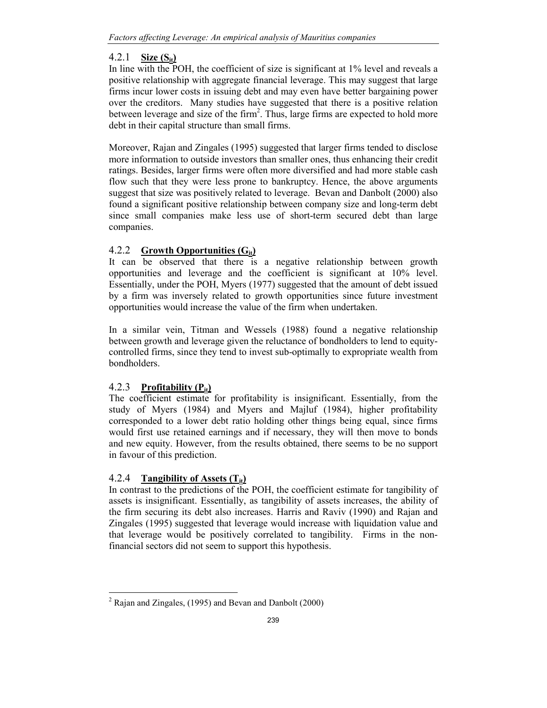## 4.2.1 Size  $(S_{it})$

In line with the POH, the coefficient of size is significant at 1% level and reveals a positive relationship with aggregate financial leverage. This may suggest that large firms incur lower costs in issuing debt and may even have better bargaining power over the creditors. Many studies have suggested that there is a positive relation between leverage and size of the firm<sup>2</sup>. Thus, large firms are expected to hold more debt in their capital structure than small firms.

Moreover, Rajan and Zingales (1995) suggested that larger firms tended to disclose more information to outside investors than smaller ones, thus enhancing their credit ratings. Besides, larger firms were often more diversified and had more stable cash flow such that they were less prone to bankruptcy. Hence, the above arguments suggest that size was positively related to leverage. Bevan and Danbolt (2000) also found a significant positive relationship between company size and long-term debt since small companies make less use of short-term secured debt than large companies.

## 4.2.2 Growth Opportunities  $(G_{it})$

It can be observed that there is a negative relationship between growth opportunities and leverage and the coefficient is significant at 10% level. Essentially, under the POH, Myers (1977) suggested that the amount of debt issued by a firm was inversely related to growth opportunities since future investment opportunities would increase the value of the firm when undertaken.

In a similar vein, Titman and Wessels (1988) found a negative relationship between growth and leverage given the reluctance of bondholders to lend to equitycontrolled firms, since they tend to invest sub-optimally to expropriate wealth from bondholders.

## 4.2.3 Profitability  $(P_{it})$

The coefficient estimate for profitability is insignificant. Essentially, from the study of Myers (1984) and Myers and Majluf (1984), higher profitability corresponded to a lower debt ratio holding other things being equal, since firms would first use retained earnings and if necessary, they will then move to bonds and new equity. However, from the results obtained, there seems to be no support in favour of this prediction.

## 4.2.4 Tangibility of Assets  $(T_{it})$

In contrast to the predictions of the POH, the coefficient estimate for tangibility of assets is insignificant. Essentially, as tangibility of assets increases, the ability of the firm securing its debt also increases. Harris and Raviv (1990) and Rajan and Zingales (1995) suggested that leverage would increase with liquidation value and that leverage would be positively correlated to tangibility. Firms in the nonfinancial sectors did not seem to support this hypothesis.

 $\overline{a}$  $2^2$  Rajan and Zingales, (1995) and Bevan and Danbolt (2000)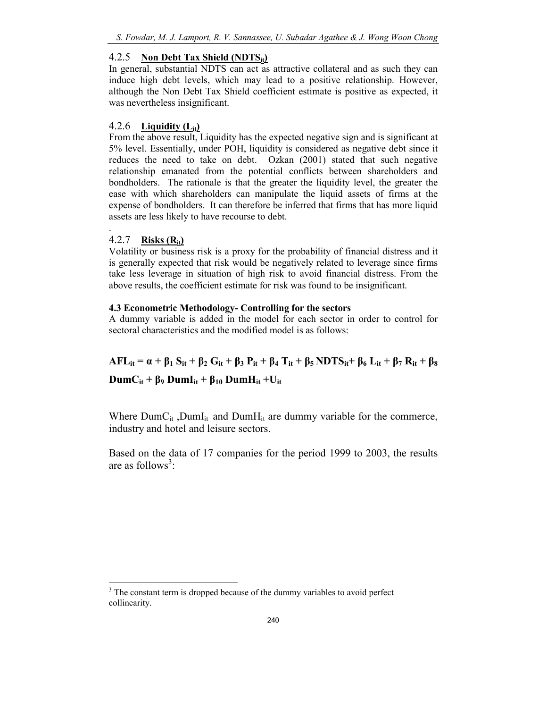## 4.2.5 Non Debt Tax Shield  $(NDTS_{it})$

In general, substantial NDTS can act as attractive collateral and as such they can induce high debt levels, which may lead to a positive relationship. However, although the Non Debt Tax Shield coefficient estimate is positive as expected, it was nevertheless insignificant.

## 4.2.6 Liquidity  $(L_{it})$

From the above result, Liquidity has the expected negative sign and is significant at 5% level. Essentially, under POH, liquidity is considered as negative debt since it reduces the need to take on debt. Ozkan (2001) stated that such negative relationship emanated from the potential conflicts between shareholders and bondholders. The rationale is that the greater the liquidity level, the greater the ease with which shareholders can manipulate the liquid assets of firms at the expense of bondholders. It can therefore be inferred that firms that has more liquid assets are less likely to have recourse to debt.

## 4.2.7 Risks  $(R_{it})$

.

Volatility or business risk is a proxy for the probability of financial distress and it is generally expected that risk would be negatively related to leverage since firms take less leverage in situation of high risk to avoid financial distress. From the above results, the coefficient estimate for risk was found to be insignificant.

## 4.3 Econometric Methodology- Controlling for the sectors

A dummy variable is added in the model for each sector in order to control for sectoral characteristics and the modified model is as follows:

## $AFL_{it} = \alpha + \beta_1 S_{it} + \beta_2 G_{it} + \beta_3 P_{it} + \beta_4 T_{it} + \beta_5 NDTS_{it} + \beta_6 L_{it} + \beta_7 R_{it} + \beta_8$ DumC<sub>it</sub> + β<sub>9</sub> DumI<sub>it</sub> + β<sub>10</sub> DumH<sub>it</sub> + U<sub>it</sub>

Where DumC<sub>it</sub>, DumI<sub>it</sub> and DumH<sub>it</sub> are dummy variable for the commerce, industry and hotel and leisure sectors.

Based on the data of 17 companies for the period 1999 to 2003, the results are as follows<sup>3</sup>:

<sup>&</sup>lt;sup>3</sup> The constant term is dropped because of the dummy variables to avoid perfect collinearity.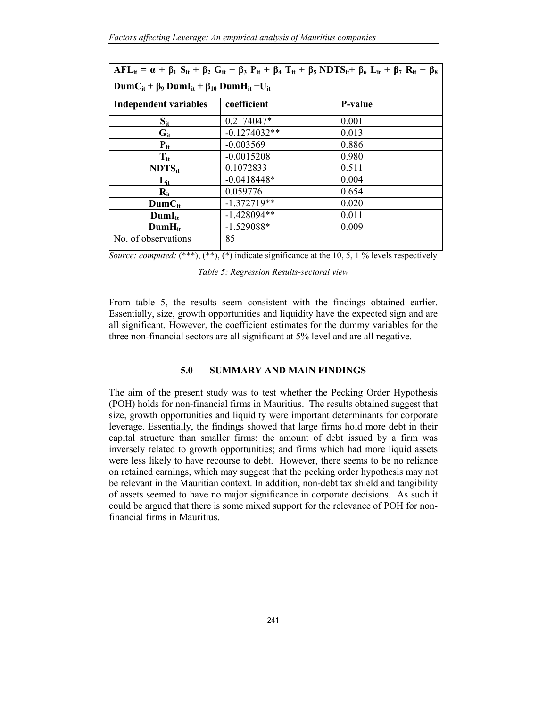| $AFL_{it} = \alpha + \beta_1 S_{it} + \beta_2 G_{it} + \beta_3 P_{it} + \beta_4 T_{it} + \beta_5 NDTS_{it} + \beta_6 L_{it} + \beta_7 R_{it} + \beta_8$ |                |                |  |  |  |
|---------------------------------------------------------------------------------------------------------------------------------------------------------|----------------|----------------|--|--|--|
| $\text{DumC}_{it}$ + $\beta_9$ $\text{DumI}_{it}$ + $\beta_{10}$ $\text{DumH}_{it}$ + $\text{U}_{it}$                                                   |                |                |  |  |  |
| Independent variables                                                                                                                                   | coefficient    | <b>P-value</b> |  |  |  |
| $S_{it}$                                                                                                                                                | 0.2174047*     | 0.001          |  |  |  |
| $G_{it}$                                                                                                                                                | $-0.1274032**$ | 0.013          |  |  |  |
| $P_{it}$                                                                                                                                                | $-0.003569$    | 0.886          |  |  |  |
| $T_{it}$                                                                                                                                                | $-0.0015208$   | 0.980          |  |  |  |
| $NDTS_{it}$                                                                                                                                             | 0.1072833      | 0.511          |  |  |  |
| $L_{it}$                                                                                                                                                | $-0.0418448*$  | 0.004          |  |  |  |
| $R_{it}$                                                                                                                                                | 0.059776       | 0.654          |  |  |  |
| $DumC_{it}$                                                                                                                                             | $-1.372719**$  | 0.020          |  |  |  |
| $DumI_{it}$                                                                                                                                             | $-1.428094**$  | 0.011          |  |  |  |
| $DumH_{it}$                                                                                                                                             | $-1.529088*$   | 0.009          |  |  |  |
| No. of observations                                                                                                                                     | 85             |                |  |  |  |

Source: computed:  $(**),$   $(**),$   $(*)$  indicate significance at the 10, 5, 1 % levels respectively

Table 5: Regression Results-sectoral view

From table 5, the results seem consistent with the findings obtained earlier. Essentially, size, growth opportunities and liquidity have the expected sign and are all significant. However, the coefficient estimates for the dummy variables for the three non-financial sectors are all significant at 5% level and are all negative.

#### 5.0 SUMMARY AND MAIN FINDINGS

The aim of the present study was to test whether the Pecking Order Hypothesis (POH) holds for non-financial firms in Mauritius. The results obtained suggest that size, growth opportunities and liquidity were important determinants for corporate leverage. Essentially, the findings showed that large firms hold more debt in their capital structure than smaller firms; the amount of debt issued by a firm was inversely related to growth opportunities; and firms which had more liquid assets were less likely to have recourse to debt. However, there seems to be no reliance on retained earnings, which may suggest that the pecking order hypothesis may not be relevant in the Mauritian context. In addition, non-debt tax shield and tangibility of assets seemed to have no major significance in corporate decisions. As such it could be argued that there is some mixed support for the relevance of POH for nonfinancial firms in Mauritius.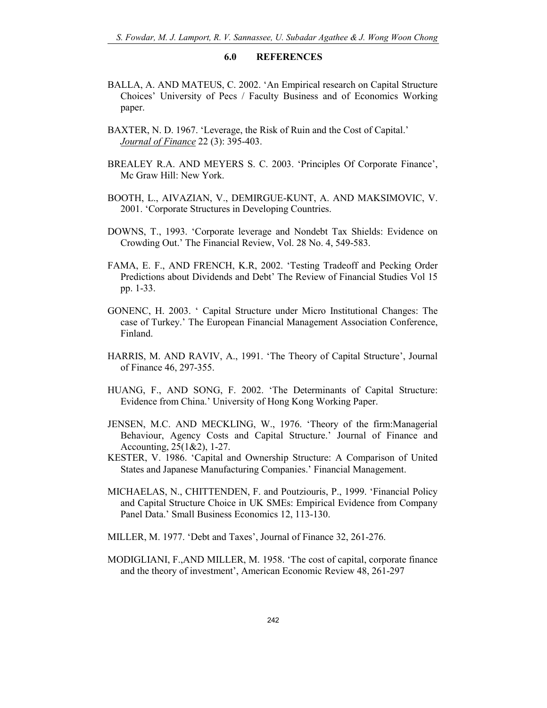#### 6.0 REFERENCES

- BALLA, A. AND MATEUS, C. 2002. 'An Empirical research on Capital Structure Choices' University of Pecs / Faculty Business and of Economics Working paper.
- BAXTER, N. D. 1967. 'Leverage, the Risk of Ruin and the Cost of Capital.' Journal of Finance 22 (3): 395-403.
- BREALEY R.A. AND MEYERS S. C. 2003. 'Principles Of Corporate Finance', Mc Graw Hill: New York.
- BOOTH, L., AIVAZIAN, V., DEMIRGUE-KUNT, A. AND MAKSIMOVIC, V. 2001. 'Corporate Structures in Developing Countries.
- DOWNS, T., 1993. 'Corporate leverage and Nondebt Tax Shields: Evidence on Crowding Out.' The Financial Review, Vol. 28 No. 4, 549-583.
- FAMA, E. F., AND FRENCH, K.R, 2002. 'Testing Tradeoff and Pecking Order Predictions about Dividends and Debt' The Review of Financial Studies Vol 15 pp. 1-33.
- GONENC, H. 2003. ' Capital Structure under Micro Institutional Changes: The case of Turkey.' The European Financial Management Association Conference, Finland.
- HARRIS, M. AND RAVIV, A., 1991. 'The Theory of Capital Structure', Journal of Finance 46, 297-355.
- HUANG, F., AND SONG, F. 2002. 'The Determinants of Capital Structure: Evidence from China.' University of Hong Kong Working Paper.
- JENSEN, M.C. AND MECKLING, W., 1976. 'Theory of the firm:Managerial Behaviour, Agency Costs and Capital Structure.' Journal of Finance and Accounting, 25(1&2), 1-27.
- KESTER, V. 1986. 'Capital and Ownership Structure: A Comparison of United States and Japanese Manufacturing Companies.' Financial Management.
- MICHAELAS, N., CHITTENDEN, F. and Poutziouris, P., 1999. 'Financial Policy and Capital Structure Choice in UK SMEs: Empirical Evidence from Company Panel Data.' Small Business Economics 12, 113-130.
- MILLER, M. 1977. 'Debt and Taxes', Journal of Finance 32, 261-276.
- MODIGLIANI, F.,AND MILLER, M. 1958. 'The cost of capital, corporate finance and the theory of investment', American Economic Review 48, 261-297